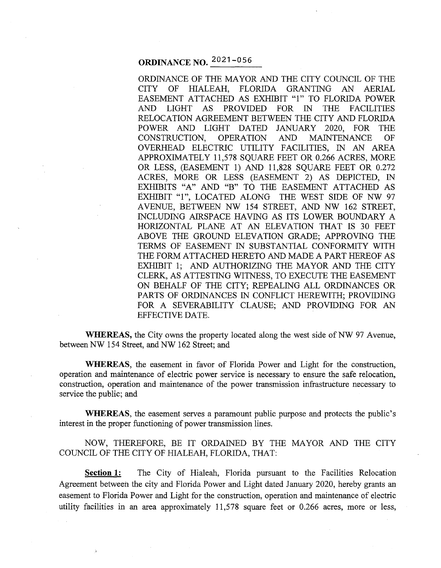# **ORDINANCE NO.** 2021 -056

ORDINANCE OF THE MAYOR AND THE CITY COUNCIL OF THE CITY OF HIALEAH, FLORIDA GRANTING AN AERIAL EASEMENT ATTACHED AS EXHIBIT "1" TO FLORIDA POWER AND LIGHT AS PROVIDED FOR IN THE FACILITIES RELOCATION AGREEMENT BETWEEN THE CITY AND FLORIDA POWER AND LIGHT DATED JANUARY 2020, FOR THE CONSTRUCTION, OPERATION AND MAINTENANCE OF OVERHEAD ELECTRIC UTILITY FACILITIES, IN AN AREA APPROXIMATELY 11,578 SQUARE FEET OR 0.266 ACRES, MORE OR LESS, (EASEMENT 1) AND 11,828 SQUARE FEET OR 0.272 ACRES, MORE OR LESS (EASEMENT 2) AS DEPICTED, IN EXHIBITS "A" AND "B" TO THE EASEMENT ATTACHED AS EXHIBIT "1'', LOCATED ALONG THE WEST SIDE OF NW 97 AVENUE, BETWEEN NW 154 STREET, AND NW 162 STREET, INCLUDING AIRSPACE HAVING AS ITS LOWER BOUNDARY A HORIZONTAL PLANE AT AN ELEVATION THAT IS 30 FEET ABOVE THE GROUND ELEVATION GRADE: APPROVING THE TERMS OF EASEMENT IN SUBSTANTIAL CONFORMITY WITH THE FORM ATTACHED HERETO AND MADE A PART HEREOF AS EXHIBIT 1; AND AUTHORIZING THE MAYOR AND THE CITY CLERK, AS ATTESTING WITNESS, TO EXECUTE THE EASEMENT ON BEHALF OF THE CITY; REPEALING ALL ORDINANCES OR PARTS OF ORDINANCES IN CONFLICT HEREWITH; PROVIDING FOR A SEVERABILITY CLAUSE; AND PROVIDING FOR AN EFFECTIVE DATE.

**WHEREAS,** the City owns the property located along the west side of NW 97 Avenue, between NW 154 Street, and NW 162 Street; and

**WHEREAS,** the easement in favor of Florida Power and Light for the construction, operation and maintenance of electric power service is necessary to ensure the safe relocation, construction, operation and maintenance of the power transmission infrastructure necessary to service the public; and

**WHEREAS,** the easement serves a paramount public purpose and protects the public's interest in the proper functioning of power transmission lines.

NOW, THEREFORE, BE IT ORDAINED BY THE MAYOR AND THE CITY COUNCIL OF THE CITY OF HIALEAH, FLORIDA, THAT:

**Section 1:** The City of Hialeah, Florida pursuant to the Facilities Relocation Agreement between the city and Florida Power and Light dated January 2020, hereby grants an easement to Florida Power and Light for the construction, operation and maintenance of electric utility facilities in an area approximately 11,578 square feet or 0.266 acres, more or less,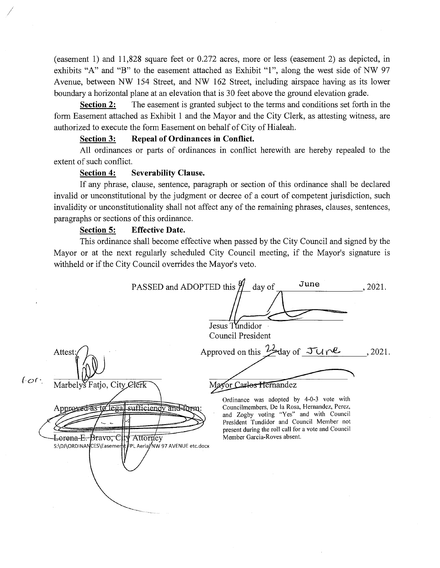(easement 1) and 11,828 square feet or 0.272 acres, more or less (easement 2) as depicted, in exhibits "A" and "B" to the easement attached as Exhibit "1", along the west side of NW 97 A venue, between NW 154 Street, and NW 162 Street, including airspace having as its lower boundary a horizontal plane at an elevation that is 30 feet above the ground elevation grade.

**Section 2:** The easement is granted subject to the terms and conditions set forth in the form Easement attached as Exhibit 1 and the Mayor and the City Clerk, as attesting witness, are authorized to execute the form Easement on behalf of City of Hialeah.

### **Section 3: Repeal of Ordinances in Conflict.**

All ordinances or parts of ordinances in conflict herewith are hereby repealed to the extent of such conflict.

### **Section 4: Severability Clause.**

I

 $f$ or.

If any phrase, clause, sentence, paragraph or section of this ordinance shall be declared invalid or unconstitutional by the judgment or decree of a court of competent jurisdiction, such invalidity or unconstitutionality shall not affect any of the remaining phrases, clauses, sentences, paragraphs or sections of this ordinance.

### **Section 5: Effective Date.**

This ordinance shall become effective when passed by the City Council and signed by the Mayor or at the next regularly scheduled City Council meeting, if the Mayor's signature is withheld or if the City Council overrides the Mayor's veto.

PASSED and ADOPTED this  $\frac{9}{4}$  day of June  $.2021.$ Jesus Tundidor Council President Approved on this  $\frac{1}{2}$  day of  $\pi$  $.2021.$ Attest Marbelys Fatjo, City Clerk Mayor Carlos Hernandez Ordinance was adopted by 4-0-3 vote with Approved as to legal sufficiency and form: Councilmembers, De la Rosa, Hernandez, Perez, and Zogby voting "Yes" and with Council President Tundidor and Council Member not present during the roll call for a vote and Council Lorena-E.-Bravo, City Attorney Member Garcia-Roves absent. S:\DJ\ORDINANCES\Easement FPL AeriaJ/NW 97 AVENUE etc.docx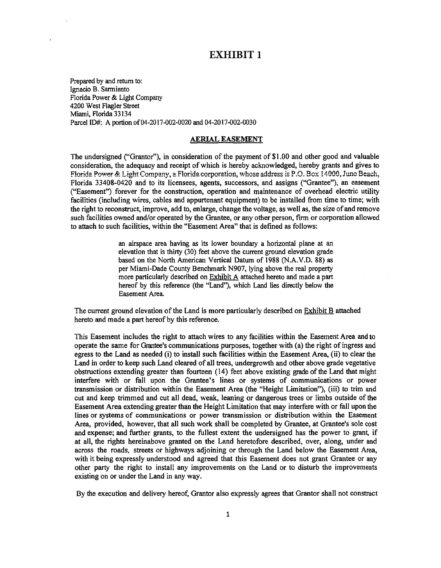## EXHIBIT 1

Prepared by and return to: Ignacio B. Sanniento Florida Power & Light Company 4200 West Flagler Street Miami, Florida 33134 Parcel ID#: A portion of 04-2017-002-0020 and 04-2017-002-0030

### AERIAL EASEMENT

The undersigned ("Grantor"), in consideration of the payment of \$1.00 and other good and valuable consideration, the adequacy and receipt of which is hereby acknowledged, hereby grants and gives to Florida Power & Light Company, a Florida corporation, whose address is P.O. Box 14000, Juno Beach, Florida 33408-0420 and to its licensees, agents, successors, and assigns ("Grantee"), an easement ("Easement") forever for the construction, operation and maintenance of overhead electric utility facilities (including wires, cables and appurtenant equipment) to be installed from time to time; with the right to reconstruct, improve, add to, enlarge, change the voltage, as well as, the size of and remove such facilities owned and/or operated by the Grantee, or any other person, firm or corporation allowed to attach to such facilities, within the "Easement Area" that is defined as follows:

> an airspace area having as its lower boundary a horizontal plane at an elevation that is thirty  $(30)$  feet above the current ground elevation grade based on the North American Vertical Datum of 1988 (N.A.V.D. 88) as per Miami-Dade County Benchmark N907, lying above the real property more particularly described on Exhibit A attached hereto and made a part hereof by this reference (the "Land"), which Land lies directly below the Easement Area

The current ground elevation of the Land is more particularly described on Exhibit B attached hereto and made a part hereof by this reference.

This Easement includes the right to attach wires to any facilities within the Easement Area and to operate the same for Grantee's communications purposes, together with (a) the right of ingress and egress to the Land as needed (i) to install such facilities within the Easement Area, (ii) to clear the Land in order to keep such Land cleared of all trees, undergrowth and other above grade vegetative obstructions extending greater than fourteen ( 14) feet above existing grade of the Land that might interfere with or fall upon the Grantee's lines or systems of communications or power transmission or distribution within the Easement Area (the "Height Limitation"), (iii) to trim and cut and keep trimmed and cut all dead, weak, leaning or dangerous trees or limbs outside of the Easement Area extending greater than the Height Limitation that may interfere with or fall upon the lines or systems of communications or power transmission or distribution within the Easement Area, provided, however, that all such work shall be completed by Grantee, at Grantee's sole cost and expense; and further grants, to the fullest extent the undersigned has the power to grant, if at all, the rights hereinabove granted on the Land heretofore described, over, along, under and across the roads, streets or highways adjoining or through the Land below the Easement Area, with it being expressly understood and agreed that this Easement does not grant Grantee or any other party the right to install any improvements on the Land or to disturb the improvements existing on or under the Land in any way.

By the execution and delivery hereof, Grantor also expressly agrees that Grantor shall not construct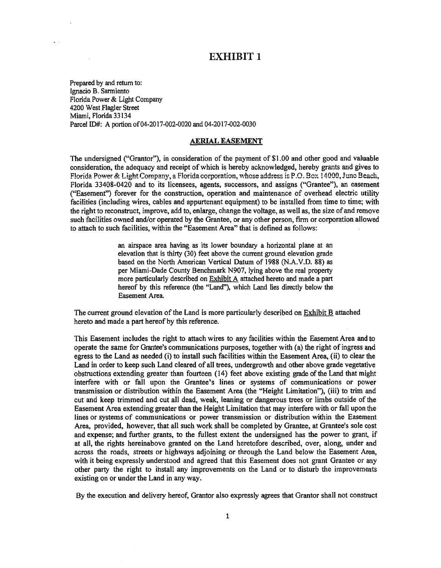## EXHIBIT l

Prepared by and return to: Ignacio B. Sanniento Florida Power & Light Company 4200 West Flagler Street Miami, Florida 33134 Parcel ID#: A portion of04-2017-002-0020 and 04-2017-002-0030

#### AERIAL EASEMENT

The undersigned ("Grantor"), in consideration of the payment of \$1 .00 and other good and valuable consideration, the adequacy and receipt of which is hereby acknowledged, hereby grants and gives to Florida Power & Light Company, a Florida corporation, whose address is P.O. Box 14000, Juno Beach, Florida 33408-0420 and to its licensees, agents, successors, and assigns (''Grantee"), an easement ("Easement") forever for the construction, operation and maintenance of overhead electric utility facilities (including wires, cables and appurtenant equipment) to be installed from time to time; with the right to reconstruct, improve, add to, enlarge, change the voltage, as well as, the size of and remove such facilities owned and/or operated by the Grantee, or any other person, firm or corporation allowed to attach to such facilities, within the "Easement Area" that is defined as follows:

> an airspace area having as its lower boundary a horizontal plane at an elevation that is thirty (30) feet above the current ground elevation grade based on the North American Vertical Datum of 1988 (N.A.V.D. 88) as per Miami-Dade County Benchmark N907, lying above the real property more particularly described on Exhibit A attached hereto and made a part hereof by this reference (the "Land"), which Land lies directly below the Easement Area.

The current ground elevation of the Land is more particularly described on Exhibit B attached hereto and made a part hereof by this reference.

This Easement includes the right to attach wires to any facilities within the Easement Area and to operate the same for Grantee's communications purposes, together with (a) the right of ingress and egress to the Land as needed (i) to install such facilities within the Easement Area, (ii) to clear the Land in order to keep such Land cleared of all trees, undergrowth and other above grade vegetative obstructions extending greater than fourteen ( 14) feet above existing grade of the Land that might interfere with or fall upon the Grantee's lines or systems of communications or power transmission or distribution within the Easement Area (the "Height Limitation"), (iii) to trim and cut and keep trimmed and cut all dead, weak, leaning or dangerous trees or limbs outside of the Easement Area extending greater than the Height Limitation that may interfere with or fall upon the lines or systems of communications or power transmission or distribution within the Easement Area, provided, however, that all such work shall be completed by Grantee, at Grantee's sole cost and expense; and further grants, to the fullest extent the undersigned has the power to grant, if at all, the rights hereinabove granted on the Land heretofore described, over, along, under and across the roads, streets or highways adjoining or through the Land below the Easement Area, with it being expressly understood and agreed that this Easement does not grant Grantee or any other party the right to ihstall any improvements on the Land or to disturb the improvements existing on or under the Land in any way.

By the execution and delivery hereof, Grantor also expressly agrees that Grantor shall not construct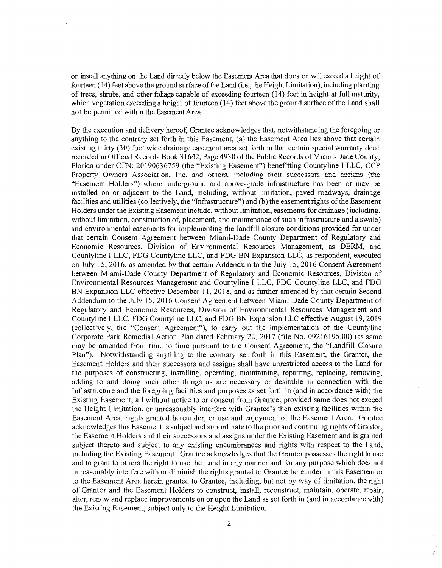or install anything on the Land directly below the Easement Area that does or will exceed a height of fourteen ( 14) feet above the ground surface of the Land (i.e., the Height Limitation), including planting of trees, shrubs, and other foliage capable of exceeding fourteen (14) feet in height at full maturity, which vegetation exceeding a height of fourteen (14) feet above the ground surface of the Land shall not be permitted within the Easement Area.

By the execution and delivery hereof, Grantee acknowledges that, notwithstanding the foregoing or anything to the contrary set forth in this Easement, (a) the Easement Area lies above that certain existing thirty (30) foot wide drainage easement area set forth in that certain special warranty deed recorded in Official Records Book 31642, Page 4930 of the Public Records of Miami-Dade County, Florida under CFN: 20190636759 (the "Existing Easement") benefitting County line I LLC, CCP Property Owners Association, Inc. and others, including their successors and assigns (the "Easement Holders") where underground and above-grade infrastructure has been or may be installed on or adjacent to the Land, including, without limitation, paved roadways, drainage facilities and utilities (collectively, the "Infrastructure") and (b) the easement rights of the Easement Holders under the Existing Easement include, without limitation, easements for drainage (including, without limitation, construction of, placement, and maintenance of such infrastructure and a swale) and environmental easements for implementing the landfill closure conditions provided for under that certain Consent Agreement between Miami-Dade County Department of Regulatory and Economic Resources, Division of Environmental Resources Management, as DERM, and Countyline I LLC, FDG Countyline LLC, and FDG BN Expansion LLC, as respondent, executed on July 15, 2016, as amended by that certain Addendum to the July 15, 2016 Consent Agreement between Miami-Dade County Department of Regulatory and Economic Resources, Division of Environmental Resources Management and Countyline I LLC, FDG Countyline LLC, and FDG BN Expansion LLC effective December 11, 2018, and as further amended by that certain Second Addendum to the July 15, 2016 Consent Agreement between Miami-Dade County Department of Regulatory and Economic Resources, Division of Environmental Resources Management and County line I LLC, FDG County line LLC, and FDG BN Expansion LLC effective August 19, 2019 (collectively, the "Consent Agreement"), to carry out the implementation of the Countyline Corporate Park Remedial Action Plan dated February 22, 2017 (file No. 09216195.00) (as same may be amended from time to time pursuant to the Consent Agreement, the "Landfill Closure Plan"). Notwithstanding anything to the contrary set forth in this Easement, the Grantor, the Easement Holders and their successors and assigns shall have unrestricted access to the Land for the purposes of constructing, installing, operating, maintaining, repairing, replacing, removing, adding to and doing such other things as are necessary or desirable in connection with the Infrastructure and the foregoing facilities and purposes as set forth in (and in accordance with) the Existing Easement, all without notice to or consent from Grantee; provided same does not exceed the Height Limitation, or unreasonably interfere with Grantee's then existing facilities within the Easement Area, rights granted hereunder, or use and enjoyment of the Easement Area. Grantee acknowledges this Easement is subject and subordinate to the prior and continuing rights of Grantor, the Easement Holders and their successors and assigns under the Existing Easement and is granted subject thereto and subject to any existing encumbrances and rights with respect to the Land, including the Existing Easement. Grantee acknowledges that the Grantor possesses the right to use and to grant to others the right to use the Land in any manner and for any purpose which does not unreasonably interfere with or diminish the rights granted to Grantee hereunder in this Easement or to the Easement Area herein granted to Grantee, including, but not by way of limitation, the right of Grantor and the Easement Holders to construct, install, reconstruct, maintain, operate, repair, alter, renew and replace improvements on or upon the Land as set forth in (and in accordance with) the Existing Easement, subject only to the Height Limitation.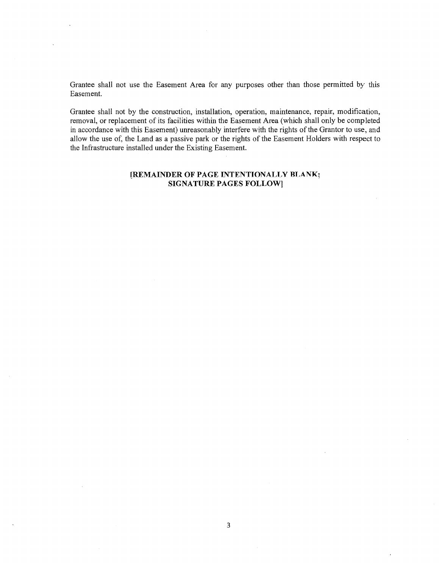Grantee shall not use the Easement Area for any purposes other than those permitted by this Easement.

Grantee shall not by the construction, installation, operation, maintenance, repair, modification, removal, or replacement of its facilities within the Easement Area (which shall only be completed in accordance with this Easement) unreasonably interfere with the rights of the Grantor to use, and allow the use of, the Land as a passive park or the rights of the Easement Holders with respect to the Infrastructure installed under the Existing Easement.

### **[REMAINDER OF PAGE INTENTIONALLY BLANK; SIGNATURE PAGES FOLLOW]**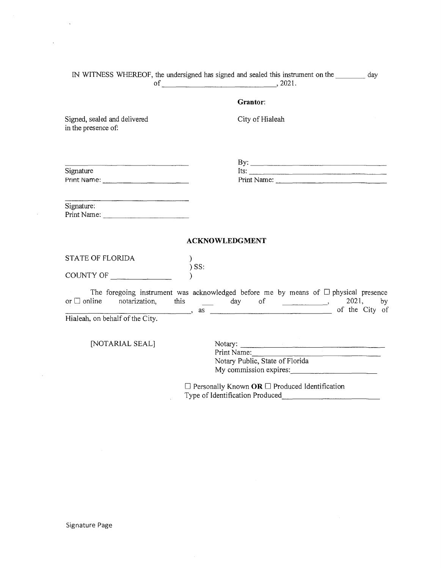|                                                                   | IN WITNESS WHEREOF, the undersigned has signed and sealed this instrument on the ________ day                                                                                                                                                                                                                        |             |
|-------------------------------------------------------------------|----------------------------------------------------------------------------------------------------------------------------------------------------------------------------------------------------------------------------------------------------------------------------------------------------------------------|-------------|
|                                                                   | of $\qquad \qquad .2021.$                                                                                                                                                                                                                                                                                            |             |
|                                                                   | Grantor:                                                                                                                                                                                                                                                                                                             |             |
| Signed, sealed and delivered<br>in the presence of:               | City of Hialeah                                                                                                                                                                                                                                                                                                      |             |
| $\overline{\phantom{a}}$<br>Signature                             | By: $\overline{\phantom{a}}$<br>Its: $\frac{1}{2}$                                                                                                                                                                                                                                                                   |             |
| Signature:<br>Print Name:                                         |                                                                                                                                                                                                                                                                                                                      |             |
|                                                                   | <b>ACKNOWLEDGMENT</b>                                                                                                                                                                                                                                                                                                |             |
| <b>STATE OF FLORIDA</b>                                           | $\mathcal{Y}$<br>$)$ SS:                                                                                                                                                                                                                                                                                             |             |
| COUNTY OF                                                         |                                                                                                                                                                                                                                                                                                                      |             |
| or $\Box$ online notarization,<br>Hialeah, on behalf of the City. | The foregoing instrument was acknowledged before me by means of $\Box$ physical presence<br>$\frac{1}{\sqrt{2}}$ day of $\frac{1}{\sqrt{2}}$<br>this                                                                                                                                                                 | 2021,<br>by |
| [NOTARIAL SEAL]                                                   | Notary:<br>Print Name:<br>the company of the company of the company of the company of the company of the company of the company of the company of the company of the company of the company of the company of the company of the company of the company<br>Notary Public, State of Florida<br>My commission expires: |             |
|                                                                   | $\Box$ Personally Known OR $\Box$ Produced Identification<br>Type of Identification Produced                                                                                                                                                                                                                         |             |

 $\ddot{\phantom{a}}$ 

 $\bar{\mathcal{A}}$ 

 $\mathcal{L}$ 

 $\sim$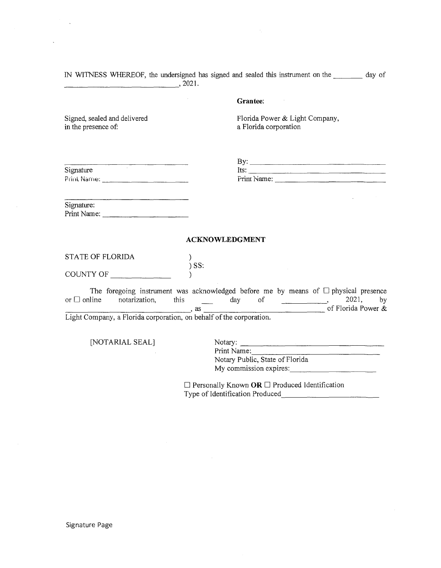IN WITNESS WHEREOF, the undersigned has signed and sealed this instrument on the day of  $-$ , 2021.

### **Grantee:**

Signed, sealed and delivered in the presence of:

Florida Power & Light Company, a Florida corporation

| Signature   | lts:      |
|-------------|-----------|
| Print Name: | Print Nam |

 $\mathbf{B} \mathbf{v}$ : Its:---------------  $\mathsf{Re}$ :

 $\mathbb{R}^2$ 

Signature: Print Name: \_\_\_\_\_\_\_\_\_ \_

### **ACKNOWLEDGMENT**

STATE OF FLORIDA ) ) SS:

COUNTY OF

The foregoing instrument was acknowledged before me by means of  $\Box$  physical presence or  $\Box$  online notarization, this  $\underline{\qquad}$  day of  $\underline{\qquad}$ , 2021, by of Florida Power &<br>Light Company, a Florida corporation, on behalf of the corporation. Light Company, a Florida corporation, on behalf of the corporation.

 $\mathcal{L}$ 

[NOTARIAL SEAL]

Notary:<br>Print Name:<br>Notary Public, State of Florida My commission expires: \_\_\_\_\_\_\_\_\_ \_

 $\Box$  Personally Known OR  $\Box$  Produced Identification Type of Identification Produced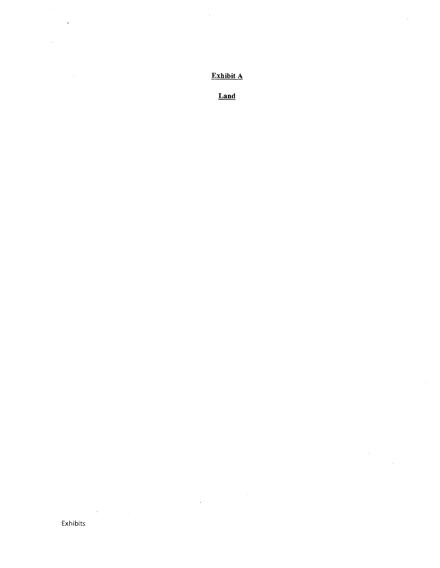**Exhibit** A

 $\bar{\lambda}$ 

i,

Land

 $\sim$ 

Exhibits

 $\epsilon$ 

l,

 $\tilde{\mathbf{q}}$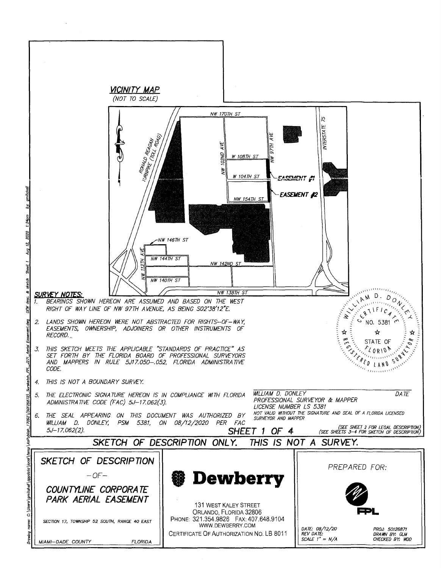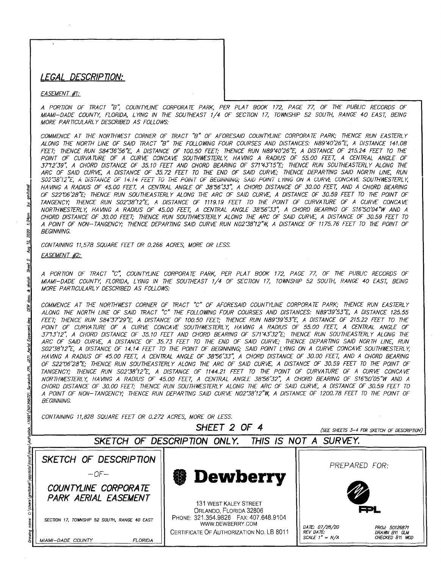### **LEGAL DESCR/P noN:**

### EASEMENT #1:

A PORTION OF TRACT "B'; COUNTYL/NE CORPORA TE PARK, PER PLAT BOOK 172, PAGE 77, OF THE PUBUC RECORDS OF MIAMI-DADE COUNTY, FLORIDA, LYING IN THE SOUTHEAST 1/4 OF SECTlON 17, TOWNSHIP 52 SOUTH, RANGE 40 EAST, B£/NG MORE PARTICULARLY DESCRIBED AS FOLLOWS:

COMMENCE AT THE NORTHW£ST CORNER OF TRACT "B" OF AFORESAID COUNTYLINE CORPORA TE PARK; THENCE RUN EASTERLY ALONG THE NORTH LINE OF SAID TRACT "B" THE FOLLOWING FOUR COURSES AND DISTANCES: N89'40'26"E, A DISTANCE 141.08 FEET; THENCE RUN S84'36'56"E, A DISTANCE OF 100.50 FEET; THENCE RUN N89'40'26''£, A DISTANCE OF 215.24 FEET TO THE POINT OF CURVATURE OF A CURVE CONCAVE SOUTHWESTERLY, HAVING A RADIUS OF 55.00 FEET, A CENTRAL ANGLE OF 3772'39'; A CHORD DISTANCE OF 35.10 FEET AND CHORD BEARING OF S71'43'15"E; THENCE RUN SOUTHEASTERLY ALONG THE ARC OF SAID CURVE, A DISTANCE OF 35.72 FEET TO THE END OF SAID CURVE; THENCE DEPARTING SAID NORTH LINE, RUN 502"38'12"£, A DISTANCE OF i4.14 FEET TO THE POINT OF BEGINNING; SAID POINT LYING ON A CURVE CONCAVE SOUTHW£STERL Y, HAVING A RADIUS OF 45.00 FEET, A CENTRAL ANGLE OF 38'56'33", A CHORD DISTANCE OF 30.00 FEET, AND A CHORD BEARING OF S22'06'28"E; THENCE RUN SOUTHEASTERLY ALONG THE ARC OF SAID CURVE, A DISTANCE OF 30.59 FEET TO THE POINT OF TANGENCY; THENCE RUN S02'38'12"E, A DISTANCE OF 1119.19 FEET TO THE POINT OF CURVATURE OF A CURVE CONCAVE NORTHWESTERLY, HAVING A RADIUS OF 45.00 FEET, A CENTRAL ANGLE 38'56'33~ A CHORD BEARING OF S16'50'04"W AND A CHORD DISTANCE OF 30.00 FEET; THENCE RUN SOU7HW£STERLY ALONG 7HE ARC OF SAID CURVE, A DISTANCE OF 30.59 FEET TO A POINT OF NON-TANGENCY; THENCE DEPARTING SAID CURVE RUN N02'38'12"W, A DISTANCE OF 1175.76 FEET TO 7HE POINT OF BEGINNING.

CONTAINING 11,578 SQUARE FEET OR 0.266 ACRES, MORE OR LESS. EASEMENT #2:

A PORTION OF TRACT "c'; COUNTYLINE CORPORATE PARK, PER PLAT BOOK 172, PAGE 77, OF THE PUBLIC RECORDS OF MIAMI-DADE COUNTY, FLORIDA, LYING IN THE SOU7HEAST 1/4 OF SECTlON 17, TOWNSHIP 52 SOUTH, RANGE 40 EAST, B£/NG MORE PARTlCULARL Y DESCRIBED AS FOLLOWS:

COMMENCE AT THE NORTHWEST CORNER OF TRACT "C" OF AFORESAID COUNTYLINE CORPORA TE PARK; THENCE RUN EASTERLY ALONG THE NORTH LINE OF SAID TRACT "C 7HE FOLLOWING FOUR COURSES AND DISTANCES: N89'39'53"E, A DISTANCE 125.55 FEET; THENCE RUN S84'37'29"E, A DISTANCE OF 100.50 FEET; THENCE RUN N89'39'53"E, A DISTANCE OF 215.22 FEET TO THE POINT OF CURVATURE OF A CURVE CONCAVE SOUTHWESTERLY, HAVING A RADIUS OF 55.00 FEET, A CENTRAL ANGLE OF 3773'12~ A CHORD DISTANCE OF 35.10 FEET AND CHORD BEARING OF S71'43'32"E; THENCE RUN SOUTHEASTERLY ALONG 7HE ARC OF SAID CURVE, A DISTANCE OF 35.73 FEET TO THE END OF SAID CURVE; THENCE DEPARTING SAID NORTH LINE, RUN S02'38'12"E, A DISTANCE OF 14.14 FEET TO 7HE POINT OF BEGINNING; SAID POINT LYING ON A CURVE CONCA VE SOUTHWESTERLY, HAVING A RADIUS OF 45.00 FEET, A CENTRAL ANGLE OF 38'56'33~ A CHORD DISTANCE OF 30.00 FEET, AND A CHORD BEARING OF S22'06'28"E; THENCE RUN SOUTHEASTERLY ALONG THE ARC OF SAID CURVE, A DISTANCE OF 30.59 FEET TO THE POINT OF TANGENCY; THENCE RUN S02'38'12"E, A DISTANCE OF 1144.21 FEET TO THE POINT OF CURVATURE OF A CURVE CONCA VE NORTHWESTERLY, HAVING A RADIUS OF 45.00 FEET, A CENTRAL ANGLE 38'56'32~ A CHORD BEARING OF S16'50'05"W AND A CHORD DISTANCE OF 30.00 FEET; THENCE RUN SOUTHWESTERLY ALONG THE ARC OF SAID CURVE, A DISTANCE OF 30.59 FEET TO A POINT OF NON-TANGENCY,· THENCE RUN DEPARTlNG SAID CURVE N02'38'12"W, A DISTANCE OF 1200. 78 FEET TO THE POINT OF BEGINNING.

CONTAINING 11,828 SQUARE FEET OR 0.272 ACRES, MORE OR LESS.

**SHEET 2 OF 4** 

(SEE SHEETS 3-4 FOR SKETCH OF DESCRIPTION)

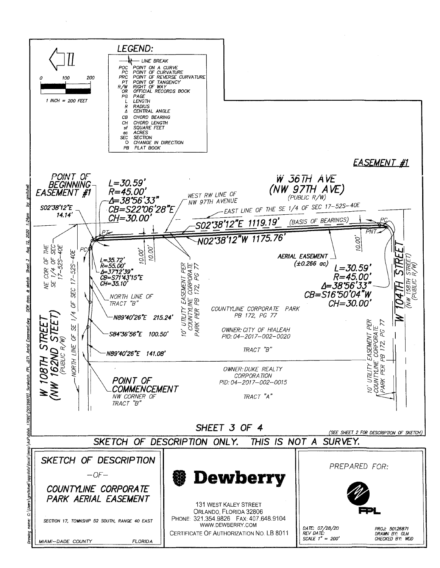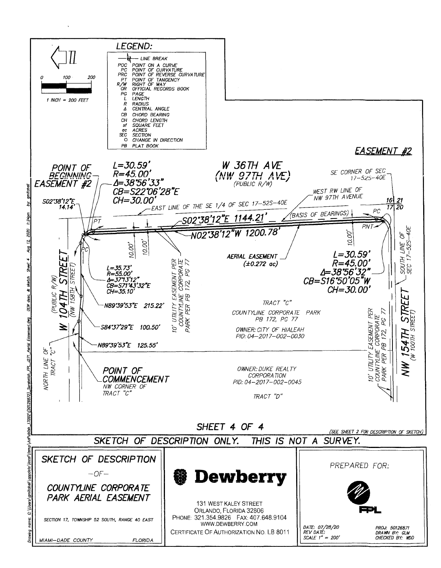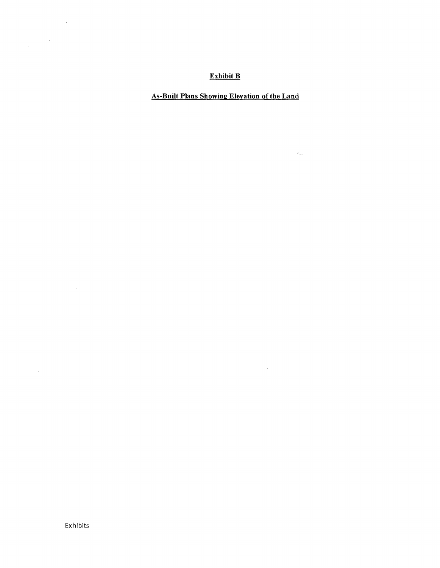### Exhibit B

## As-Built Plans Showing Elevation of the Land

 $\sigma_{\rm b, \rm s}$ 

 $\sim 10^7$ 

 $\mathcal{L}^{\text{max}}_{\text{max}}$ 

Exhibits

 $\sim$   $\sim$ 

 $\bar{\mathcal{A}}$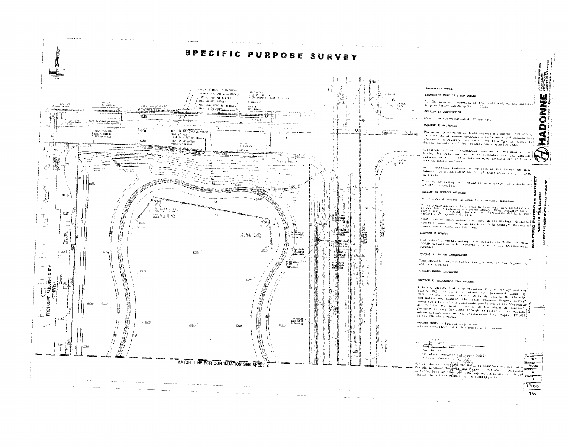

#### SURVEYOR'S NOTES:

#### SECTION 1) DATE OF FIELD SURVEY:

The data of completion of the field work of the Purpuan Survey was on April 15, 5021.

**WARD** 

Ā

₫

T.

ò

 $P$  as the  $F$ 

 $\overline{15}$ 15058  $1/5$ 

iana)<br>Maria

#### SECTION 2) DESCRIPTION

COUNTILINE CORPORATE PARKS "A" SHE "A"

The accuracy obtained by rield measurement methods and office. The moderning of cases of the season and office.<br>Standards of Practice sequences (Synets and states) the Standards of Practice sequitogent for this The Catalogue<br>Standards of Practice sequitogent for this Theory as<br>detined

sievaciona ur vell identified features as depicted on the engater. At 1910, of a read our each environment of the strategy and the strategy of 1910, or and<br>pursely gap wate reasured to an estimated vertical position.<br>prevactions of acts identified beatives as deproted on the fuet on ground surfaces.

Well instituted features as depicted on the Survey Rap were? mess substanto consecution and approved on the waves, map more.<br>Measured to an estimated horizontal position admizedy of 1/10.

This May of Survey is intended to be displayed at a scale of :<br>(i">50') or smaller.

#### SECTION 4) SOURCES OF DATA:

North arrow direction is pasud on an assumed Merician.

Thin projectly diseased to be included in Flood some "AC", Elevation 6.<br>So per Enderg: Electronic Minimagnet Agoncy (FBIN) "Community Hugber"<br>(10043) (City of Kin):Ally Sapten Council Ms. 1200300111, Sufflix L, Hop.<br>Maviae

Wiews one as whose nervor are bosed on the National Geodetic.<br>Vertical batms of 1926, as per Wiemi-Gode County's Benomerk.<br>Musher N-628, Wiewstoon 5.87 rear.  $\mathbf{a}$ 

This Specific Purpose Salvey is to Serify the EXTENCTION WELL SYSTEM elevations (s)); Pverything ets? is for informational

#### SECTION 6) CLIENT INFORMATION

This Specific furpose Survey W35 prepared at the regular of and certified to:

#### FLAGLER GLOBAL LOGISTICS

#### SECTION 7) SURVEYOR'S CERTIFICATE:

I hereby certify that this "Specific Purpose Jurvey" and the Finally calling the this population was purpose only and the stress of the self resulting the self-on was purposed and to the stress of the solid resulting the stress of the self of the stress of the stress of the stress o and Belief and further, that said "Specific Purposs Sitvey"<br>meets the filter of the applicable provisions of the "Scandards"<br>of Precision for best Scandards provisions of the "Scandards"<br>pursuality for the 50-17.052 of the Administrative Code and Its implementing Law, Chapter 471.027<br>of the Plusias Code and Its implementing Law, Chapter 471.027

**BADONNE CORP., a Floride Corporation.**<br>Election Castletists of Author:zation number 587097



#### had species surveyor and hoppen LS6099 stele et Pleziga

Morrier McC valid with the Copy of the Summary and Sections (Section 2)<br>Proceds Licensen Supervolt Supervolt Additions of Sections (Section)<br>to Survey Raps by other than the signing party are problemed to Survey Raps by ot **Lewishing** AHMG  $\frac{1}{2}$ Tick By -<br>Fl **EXISTEN**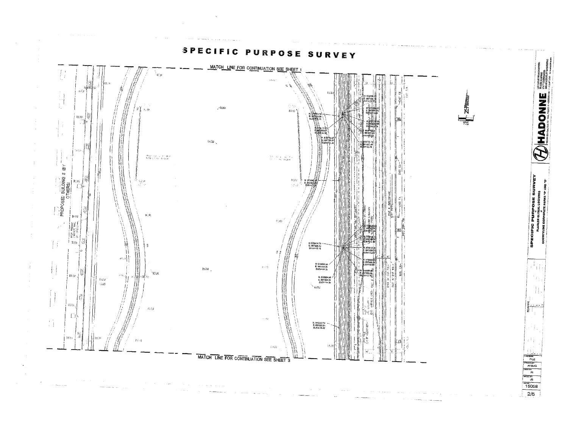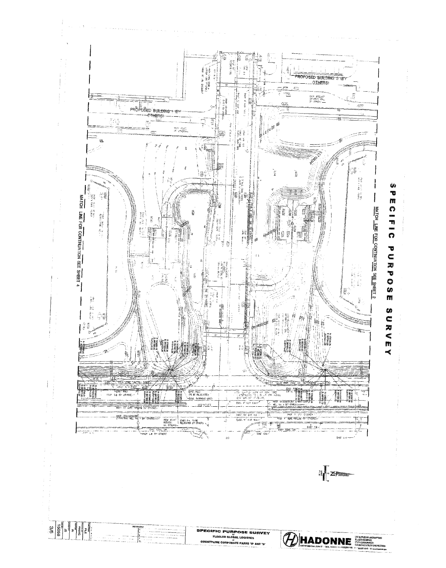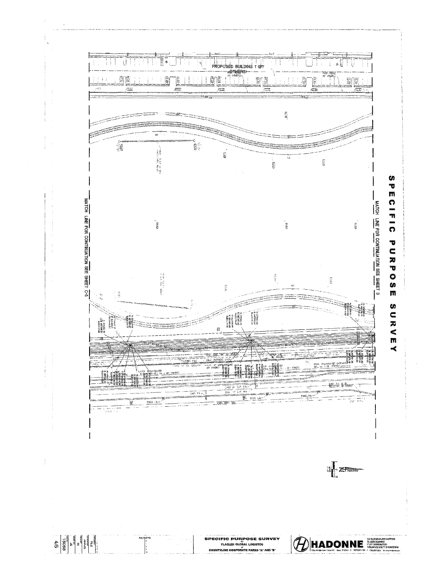